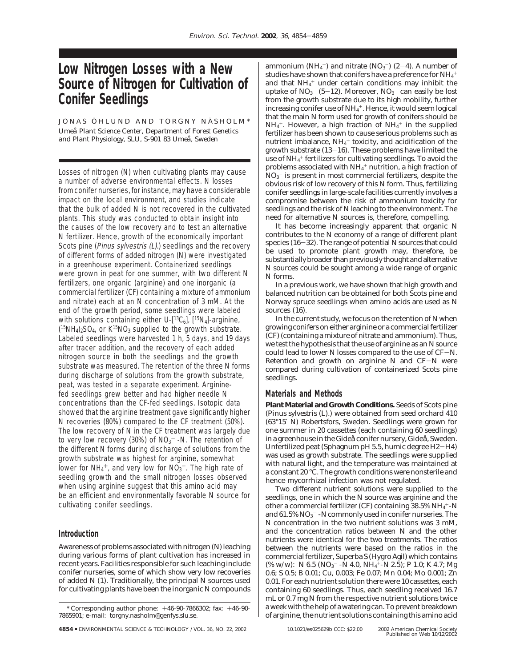# **Low Nitrogen Losses with a New Source of Nitrogen for Cultivation of Conifer Seedlings**

JONAS ÖHLUND AND TORGNY NÄSHOLM\* *Umea˚ Plant Science Center, Department of Forest Genetics* and Plant Physiology, SLU, S-901 83 Umeå, Sweden

Losses of nitrogen (N) when cultivating plants may cause a number of adverse environmental effects. N losses from conifer nurseries, for instance, may have a considerable impact on the local environment, and studies indicate that the bulk of added N is not recovered in the cultivated plants. This study was conducted to obtain insight into the causes of the low recovery and to test an alternative N fertilizer. Hence, growth of the economically important Scots pine (Pinus sylvestris (L).) seedlings and the recovery of different forms of added nitrogen (N) were investigated in a greenhouse experiment. Containerized seedlings were grown in peat for one summer, with two different N fertilizers, one organic (arginine) and one inorganic (a commercial fertilizer (CF) containing a mixture of ammonium and nitrate) each at an N concentration of 3 mM. At the end of the growth period, some seedlings were labeled with solutions containing either U- $[^{13}C_6]$ ,  $[^{15}N_4]$ -arginine,  $(^{15}NH_4)_2$ SO<sub>4</sub>, or K<sup>15</sup>NO<sub>3</sub> supplied to the growth substrate. Labeled seedlings were harvested 1 h, 5 days, and 19 days after tracer addition, and the recovery of each added nitrogen source in both the seedlings and the growth substrate was measured. The retention of the three N forms during discharge of solutions from the growth substrate, peat, was tested in a separate experiment. Argininefed seedlings grew better and had higher needle N concentrations than the CF-fed seedlings. Isotopic data showed that the arginine treatment gave significantly higher N recoveries (80%) compared to the CF treatment (50%). The low recovery of N in the CF treatment was largely due to very low recovery (30%) of NO $_3^-$  -N. The retention of the different N forms during discharge of solutions from the growth substrate was highest for arginine, somewhat lower for  $NH_4^+$ , and very low for  $NO_3^-$ . The high rate of seedling growth and the small nitrogen losses observed when using arginine suggest that this amino acid may be an efficient and environmentally favorable N source for cultivating conifer seedlings.

## **Introduction**

Awareness of problems associated with nitrogen (N) leaching during various forms of plant cultivation has increased in recent years. Facilities responsible for such leaching include conifer nurseries, some of which show very low recoveries of added N (*1*). Traditionally, the principal N sources used for cultivating plants have been the inorganic N compounds

sources (*16*). In the current study, we focus on the retention of N when growing conifers on either arginine or a commercial fertilizer (CF) (containing a mixture of nitrate and ammonium). Thus, we test the hypothesis that the use of arginine as an N source could lead to lower N losses compared to the use of CF-N. Retention and growth on arginine N and CF-N were compared during cultivation of containerized Scots pine seedlings.

N forms.

## **Materials and Methods**

**Plant Material and Growth Conditions.** Seeds of Scots pine (*Pinus sylvestris* (L).) were obtained from seed orchard 410 (63°15′ N) Robertsfors, Sweden. Seedlings were grown for one summer in 20 cassettes (each containing 60 seedlings) in a greenhouse in the Gideå conifer nursery, Gideå, Sweden. Unfertilized peat (Sphagnum pH 5.5, humic degree H2-H4) was used as growth substrate. The seedlings were supplied with natural light, and the temperature was maintained at a constant 20 °C. The growth conditions were nonsterile and hence mycorrhizal infection was not regulated.

In a previous work, we have shown that high growth and balanced nutrition can be obtained for both Scots pine and Norway spruce seedlings when amino acids are used as N

ammonium ( $NH_4^+$ ) and nitrate ( $NO_3^-$ ) ( $2-4$ ). A number of<br>studies have shown that conifers have a preference for NH.<sup>+</sup> studies have shown that conifers have a preference for  $\mathrm{NH}_4^+$ and that  $NH_4^+$  under certain conditions may inhibit the uptake of NO<sub>3</sub><sup>-</sup> (5–*12*). Moreover, NO<sub>3</sub><sup>-</sup> can easily be lost<br>from the growth substrate due to its high mobility, further from the growth substrate due to its high mobility, further increasing conifer use of NH $_4^{\mathrm{+}}$ . Hence, it would seem logical that the main N form used for growth of conifers should be  $\rm NH_4^+$ . However, a high fraction of  $\rm NH_4^+$  in the supplied fertilizer has been shown to cause serious problems such as nutrient imbalance,  $\mathrm{NH_4^+}$  toxicity, and acidification of the growth substrate (*13*-*16*). These problems have limited the use of NH $_4^+$  fertilizers for cultivating seedlings. To avoid the problems associated with NH $_4^+$  nutrition, a high fraction of  $\mathrm{NO_3^-}$  is present in most commercial fertilizers, despite the obvious risk of low recovery of this N form. Thus, fertilizing conifer seedlings in large-scale facilities currently involves a compromise between the risk of ammonium toxicity for seedlings and the risk of N leaching to the environment. The need for alternative N sources is, therefore, compelling. It has become increasingly apparent that organic N contributes to the N economy of a range of different plant species (16-32). The range of potential N sources that could be used to promote plant growth may, therefore, be substantially broader than previously thought and alternative N sources could be sought among a wide range of organic

Two different nutrient solutions were supplied to the seedlings, one in which the N source was arginine and the other a commercial fertilizer (CF) containing  $38.5\%$  NH $_4^+$ -N and  $61.5\%$   $\mathrm{NO_3^{-}}$  -N commonly used in conifer nurseries. The N concentration in the two nutrient solutions was 3 mM, and the concentration ratios between N and the other nutrients were identical for the two treatments. The ratios between the nutrients were based on the ratios in the commercial fertilizer, Superba S (Hygro Agil) which contains (% w/w): N 6.5 ( $NO<sub>3</sub>^-$  -N 4.0, NH<sub>4</sub><sup>+</sup>-N 2.5); P 1.0; K 4.7; Mg 0.6; S 0.5; B 0.01; Cu, 0.003; Fe 0.07; Mn 0.04; Mo 0.001; Zn 0.01. For each nutrient solution there were 10 cassettes, each containing 60 seedlings. Thus, each seedling received 16.7 mL or 0.7 mg N from the respective nutrient solutions twice a week with the help of a watering can. To prevent breakdown of arginine, the nutrient solutions containing this amino acid

<sup>\*</sup> Corresponding author phone: +46-90-7866302; fax: +46-90- 7865901; e-mail: torgny.nasholm@genfys.slu.se.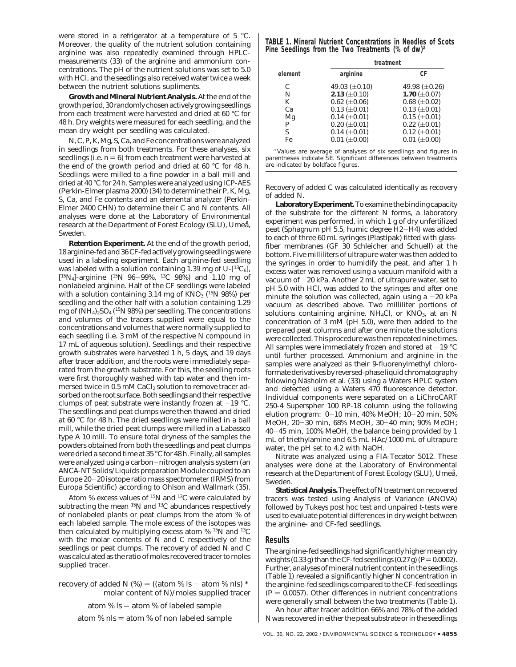were stored in a refrigerator at a temperature of 5 °C. Moreover, the quality of the nutrient solution containing arginine was also repeatedly examined through HPLCmeasurements (*33*) of the arginine and ammonium concentrations. The pH of the nutrient solutions was set to 5.0 with HCl, and the seedlings also received water twice a week between the nutrient solutions supliments.

**Growth and Mineral Nutrient Analysis.** At the end of the growth period, 30 randomly chosen actively growing seedlings from each treatment were harvested and dried at 60 °C for 48 h. Dry weights were measured for each seedling, and the mean dry weight per seedling was calculated.

N, C, P, K, Mg, S, Ca, and Fe concentrations were analyzed in seedlings from both treatments. For these analyses, six seedlings (i.e.  $n = 6$ ) from each treatment were harvested at the end of the growth period and dried at 60 °C for 48 h. Seedlings were milled to a fine powder in a ball mill and dried at 40 °C for 24 h. Samples were analyzed using ICP-AES (Perkin-Elmer plasma 2000) (*34*) to determine their P, K, Mg, S, Ca, and Fe contents and an elemental analyzer (Perkin-Elmer 2400 CHN) to determine their C and N contents. All analyses were done at the Laboratory of Environmental research at the Department of Forest Ecology (SLU), Umeå, Sweden*.*

**Retention Experiment.** At the end of the growth period, 18 arginine-fed and 36 CF-fed actively growing seedlings were used in a labeling experiment. Each arginine-fed seedling was labeled with a solution containing 1.39 mg of U- $[^{13}C_6]$ ,  $[15N_4]$ -arginine  $(15N_96-99\%, 13C_98\%)$  and 1.10 mg of nonlabeled arginine. Half of the CF seedlings were labeled with a solution containing 3.14 mg of  $KNO_3$  (<sup>15</sup>N 98%) per seedling and the other half with a solution containing 1.29 mg of  $(NH_4)_2SO_4$  (<sup>15</sup>N 98%) per seedling. The concentrations and volumes of the tracers supplied were equal to the concentrations and volumes that were normally supplied to each seedling (i.e. 3 mM of the respective N compound in 17 mL of aqueous solution). Seedlings and their respective growth substrates were harvested 1 h, 5 days, and 19 days after tracer addition, and the roots were immediately separated from the growth substrate. For this, the seedling roots were first thoroughly washed with tap water and then immersed twice in 0.5 mM CaCl<sub>2</sub> solution to remove tracer adsorbed on the root surface. Both seedlings and their respective clumps of peat substrate were instantly frozen at  $-19$  °C. The seedlings and peat clumps were then thawed and dried at 60 °C for 48 h. The dried seedlings were milled in a ball mill, while the dried peat clumps were milled in a Labassco type A 10 mill. To ensure total dryness of the samples the powders obtained from both the seedlings and peat clumps were dried a second time at 35 °C for 48 h. Finally, all samples were analyzed using a carbon-nitrogen analysis system (an ANCA-NT Solids/Liquids preparation Module coupled to an Europe 20-20 isotope ratio mass spectrometer (IRMS) from Europa Scientific) according to Ohlson and Wallmark (*35*).

Atom % excess values of  $^{15}N$  and  $^{13}C$  were calculated by subtracting the mean <sup>15</sup>N and <sup>13</sup>C abundances respectively of nonlabeled plants or peat clumps from the atom % of each labeled sample. The mole excess of the isotopes was then calculated by multiplying excess atom % 15N and 13C with the molar contents of N and C respectively of the seedlings or peat clumps. The recovery of added N and C was calculated as the ratio of moles recovered tracer to moles supplied tracer.

recovery of added N  $(\%)$  = ((atom % ls - atom % nls) \* molar content of N)/moles supplied tracer

atom %  $ls = atom %$  of labeled sample

atom % nls  $=$  atom % of non labeled sample

**TABLE 1. Mineral Nutrient Concentrations in Needles of Scots Pine Seedlings from the Two Treatments (% of dw)***<sup>a</sup>*

| element | treatment                                                                   |                     |
|---------|-----------------------------------------------------------------------------|---------------------|
|         | arginine                                                                    | СF                  |
| C       | 49.03 $(\pm 0.10)$                                                          | 49.98 $(\pm 0.26)$  |
| N       | 2.13 $(\pm 0.10)$                                                           | 1.70 $(\pm 0.07)$   |
| К       | $0.62 \ (\pm 0.06)$                                                         | $0.68 \ (\pm 0.02)$ |
| Cа      | $0.13 \ (\pm 0.01)$                                                         | $0.13 \ (\pm 0.01)$ |
| Mg      | $0.14 \ (\pm 0.01)$                                                         | $0.15 \ (\pm 0.01)$ |
| P       | $0.20$ ( $\pm 0.01$ )                                                       | $0.22 \ (\pm 0.01)$ |
| S       | $0.14 \ (\pm 0.01)$                                                         | $0.12 \ (\pm 0.01)$ |
| Fe      | $0.01$ ( $\pm 0.00$ )                                                       | $0.01 (\pm 0.00)$   |
|         | <sup>a</sup> Values are average of analyses of six seedlings and figures in |                     |

parentheses indicate SE. Significant differences between treatments are indicated by boldface figures.

Recovery of added C was calculated identically as recovery of added N.

**Laboratory Experiment.**To examine the binding capacity of the substrate for the different N forms, a laboratory experiment was performed, in which 1 g of dry unfertilized peat (*Sphagnum* pH 5.5, humic degree H2-H4) was added to each of three 60 mL syringes (Plastipak) fitted with glassfiber membranes (GF 30 Schleicher and Schuell) at the bottom. Five milliliters of ultrapure water was then added to the syringes in order to humidify the peat, and after 1 h excess water was removed using a vacuum manifold with a vacuum of  $-20$  kPa. Another 2 mL of ultrapure water, set to pH 5.0 with HCl, was added to the syringes and after one minute the solution was collected, again using a  $-20$  kPa vacuum as described above. Two milliliter portions of solutions containing arginine,  $NH<sub>4</sub>Cl$ , or  $KNO<sub>3</sub>$ , at an N concentration of 3 mM (pH 5.0), were then added to the prepared peat columns and after one minute the solutions were collected. This procedure was then repeated nine times. All samples were immediately frozen and stored at  $-19$  °C until further processed. Ammonium and arginine in the samples were analyzed as their 9-fluorenylmethyl chloroformate derivatives by reversed-phase liquid chromatography following Näsholm et al. (33) using a Waters HPLC system and detected using a Waters 470 fluorescence detector. Individual components were separated on a LiChroCART 250-4 Superspher 100 RP-18 column using the following elution program: 0-10 min, 40% MeOH; 10-20 min, 50% MeOH, 20-30 min, 68% MeOH, 30-40 min; 90% MeOH; <sup>40</sup>-45 min, 100% MeOH, the balance being provided by 1 mL of triethylamine and 6.5 mL HAc/1000 mL of ultrapure water, the pH set to 4.2 with NaOH.

Nitrate was analyzed using a FIA-Tecator 5012. These analyses were done at the Laboratory of Environmental research at the Department of Forest Ecology (SLU), Umeå, Sweden.

**Statistical Analysis.**The effect of N treatment on recovered tracers was tested using Analysis of Variance (ANOVA) followed by Tukeys post hoc test and unpaired *t*-tests were used to evaluate potential differences in dry weight between the arginine- and CF-fed seedlings.

## **Results**

The arginine-fed seedlings had significantly higher mean dry weights  $(0.33 \text{ g})$  than the CF-fed seedlings  $(0.27 \text{ g})$   $(P=0.0002)$ . Further, analyses of mineral nutrient content in the seedlings (Table 1) revealed a significantly higher N concentration in the arginine-fed seedlings compared to the CF-fed seedlings  $(P = 0.0057)$ . Other differences in nutrient concentrations were generally small between the two treatments (Table 1).

An hour after tracer addition 66% and 78% of the added N was recovered in either the peat substrate or in the seedlings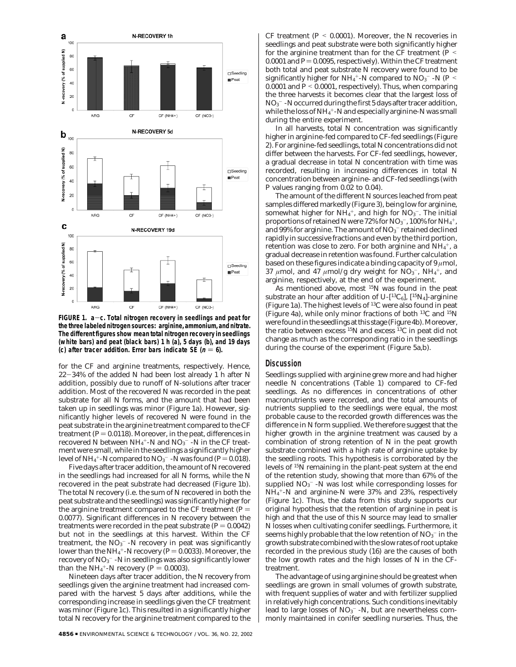

**FIGURE 1. a**-**c. Total nitrogen recovery in seedlings and peat for the three labeled nitrogen sources: arginine, ammonium, and nitrate. The different figures show mean total nitrogen recovery in seedlings (white bars) and peat (black bars) 1 h (a), 5 days (b), and 19 days (c) after tracer addition. Error bars indicate SE (** $n = 6$ **).** 

for the CF and arginine treatments, respectively. Hence, <sup>22</sup>-34% of the added N had been lost already 1 h after N addition, possibly due to runoff of N-solutions after tracer addition. Most of the recovered N was recorded in the peat substrate for all N forms, and the amount that had been taken up in seedlings was minor (Figure 1a). However, significantly higher levels of recovered N were found in the peat substrate in the arginine treatment compared to the CF treatment ( $P = 0.0118$ ). Moreover, in the peat, differences in recovered N between NH4<sup>+</sup>-N and NO<sub>3</sub><sup>-</sup> -N in the CF treatment were small, while in the seedlings a significantly higher level of NH<sub>4</sub><sup>+</sup>-N compared to NO<sub>3</sub><sup>-</sup> -N was found (*P* = 0.018).<br>Five days after tracer addition, the amount of N recovered

Five days after tracer addition, the amount of N recovered in the seedlings had increased for all N forms, while the N recovered in the peat substrate had decreased (Figure 1b). The total N recovery (i.e. the sum of N recovered in both the peat substrate and the seedlings) was significantly higher for the arginine treatment compared to the CF treatment  $(P =$ 0.0077). Significant differences in N recovery between the treatments were recorded in the peat substrate  $(P = 0.0042)$ but not in the seedlings at this harvest. Within the CF treatment, the  $\mathrm{NO_3^{-}}$  -N recovery in peat was significantly lower than the NH<sub>4</sub>+-N recovery ( $P = 0.0033$ ). Moreover, the<br>recovery of NO<sub>2</sub>- -N in seedlings was also significantly lower recovery of NO $_3^{\rm -}$  -N in seedlings was also significantly lower than the  $NH_4^+$ -N recovery ( $P = 0.0003$ ).<br>Ningteen days after tracer addition the

Nineteen days after tracer addition, the N recovery from seedlings given the arginine treatment had increased compared with the harvest 5 days after additions, while the corresponding increase in seedlings given the CF treatment was minor (Figure 1c). This resulted in a significantly higher total N recovery for the arginine treatment compared to the

CF treatment  $(P < 0.0001)$ . Moreover, the N recoveries in seedlings and peat substrate were both significantly higher for the arginine treatment than for the CF treatment  $(P \leq$ 0.0001 and  $P = 0.0095$ , respectively). Within the CF treatment both total and peat substrate N recovery were found to be significantly higher for NH<sub>4</sub><sup>+</sup>-N compared to NO<sub>3</sub><sup>-</sup> -N (*P* <<br>0.0001 and *P* < 0.0001, respectively). Thus when comparing 0.0001 and  $P < 0.0001$ , respectively). Thus, when comparing the three harvests it becomes clear that the largest loss of  $\rm NO_3^-$  -N occurred during the first 5 days after tracer addition, while the loss of NH $_4^{\mathrm{+}}$ -N and especially arginine-N was small during the entire experiment.

In all harvests, total N concentration was significantly higher in arginine-fed compared to CF-fed seedlings (Figure 2). For arginine-fed seedlings, total N concentrations did not differ between the harvests. For CF-fed seedlings, however, a gradual decrease in total N concentration with time was recorded, resulting in increasing differences in total N concentration between arginine- and CF-fed seedlings (with *P* values ranging from 0.02 to 0.04).

The amount of the different N sources leached from peat samples differed markedly (Figure 3), being low for arginine, somewhat higher for NH $_4^+$ , and high for NO $_3^-$ . The initial proportions of retained N were 72% for NO3 $^-$ , 100% for NH $_4^+$ , and 99% for arginine. The amount of  $\rm NO_3^-$  retained declined rapidly in successive fractions and even by the third portion, retention was close to zero. For both arginine and NH $_4^+$ , a gradual decrease in retention was found. Further calculation based on these figures indicate a binding capacity of 9 *µ*mol,  $37 \mu$ mol, and  $47 \mu$ mol/g dry weight for  $NO<sub>3</sub>^-$ ,  $NH<sub>4</sub>^+$ , and arginine, respectively, at the end of the experiment.

As mentioned above, most 15N was found in the peat substrate an hour after addition of U- $[^{13}C_6]$ ,  $[^{15}N_4]$ -arginine (Figure 1a). The highest levels of 13C were also found in peat (Figure 4a), while only minor fractions of both 13C and 15N were found in the seedlings at this stage (Figure 4b). Moreover, the ratio between excess 15N and excess 13C in peat did not change as much as the corresponding ratio in the seedlings during the course of the experiment (Figure 5a,b).

#### **Discussion**

Seedlings supplied with arginine grew more and had higher needle N concentrations (Table 1) compared to CF-fed seedlings. As no differences in concentrations of other macronutrients were recorded, and the total amounts of nutrients supplied to the seedlings were equal, the most probable cause to the recorded growth differences was the difference in N form supplied. We therefore suggest that the higher growth in the arginine treatment was caused by a combination of strong retention of N in the peat growth substrate combined with a high rate of arginine uptake by the seedling roots. This hypothesis is corroborated by the levels of 15N remaining in the plant-peat system at the end of the retention study, showing that more than 67% of the supplied  $\rm NO_3^-$  -N was lost while corresponding losses for NH4 <sup>+</sup>-N and arginine-N were 37% and 23%, respectively (Figure 1c). Thus, the data from this study supports our original hypothesis that the retention of arginine in peat is high and that the use of this N source may lead to smaller N losses when cultivating conifer seedlings. Furthermore, it seems highly probable that the low retention of  $\mathrm{NO_3^{-}}$  in the growth substrate combined with the slow rates of root uptake recorded in the previous study (*16*) are the causes of both the low growth rates and the high losses of N in the CFtreatment.

The advantage of using arginine should be greatest when seedlings are grown in small volumes of growth substrate, with frequent supplies of water and with fertilizer supplied in relatively high concentrations. Such conditions inevitably lead to large losses of  $\rm NO_3^-$  -N, but are nevertheless commonly maintained in conifer seedling nurseries. Thus, the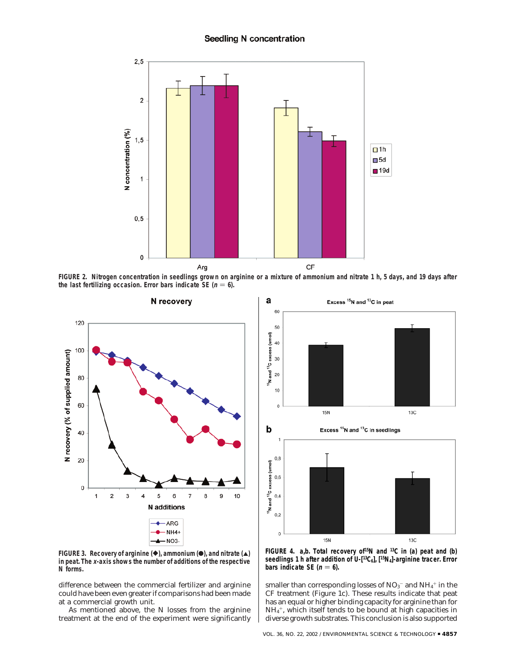## **Seedling N concentration**



**FIGURE 2. Nitrogen concentration in seedlings grown on arginine or a mixture of ammonium and nitrate 1 h, 5 days, and 19 days after** the last fertilizing occasion. Error bars indicate SE  $(n = 6)$ .



**FIGURE 3. Recovery of arginine (** $\blacklozenge$ **), ammonium (** $\blacklozenge$ **), and nitrate (** $\blacktriangle$ **) in peat. The <sup>x</sup>-axis shows the number of additions of the respective N forms.**

difference between the commercial fertilizer and arginine could have been even greater if comparisons had been made at a commercial growth unit.

As mentioned above, the N losses from the arginine treatment at the end of the experiment were significantly



**FIGURE 4. a,b. Total recovery of15N and 13C in (a) peat and (b) seedlings 1 h after addition of U-[13C6], [15N4]-arginine tracer. Error bars indicate SE (** $n = 6$ **).** 

smaller than corresponding losses of  $\rm NO_3^-$  and  $\rm NH_4^+$  in the CF treatment (Figure 1c). These results indicate that peat has an equal or higher binding capacity for arginine than for  $\mathrm{NH}_4^+$ , which itself tends to be bound at high capacities in diverse growth substrates. This conclusion is also supported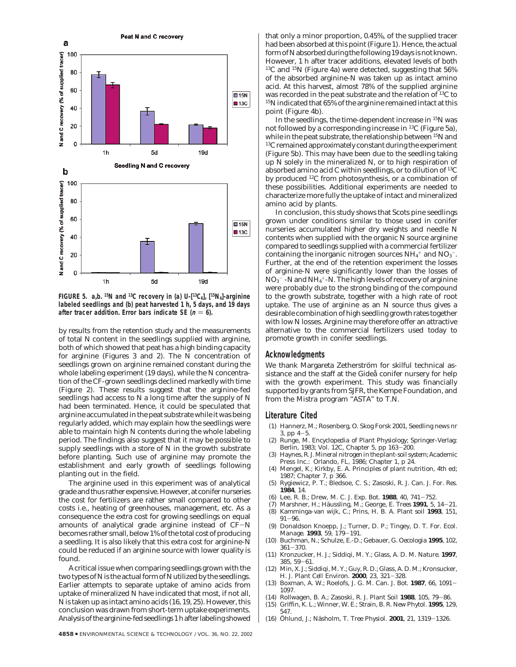

**FIGURE 5. a,b. 15N and 13C recovery in (a) U-[13C6], [15N4]-arginine labeled seedlings and (b) peat harvested 1 h, 5 days, and 19 days** after tracer addition. Error bars indicate SE ( $n = 6$ ).

by results from the retention study and the measurements of total N content in the seedlings supplied with arginine, both of which showed that peat has a high binding capacity for arginine (Figures 3 and 2). The N concentration of seedlings grown on arginine remained constant during the whole labeling experiment (19 days), while the N concentration of the CF-grown seedlings declined markedly with time (Figure 2). These results suggest that the arginine-fed seedlings had access to N a long time after the supply of N had been terminated. Hence, it could be speculated that arginine accumulated in the peat substrate while it was being regularly added, which may explain how the seedlings were able to maintain high N contents during the whole labeling period. The findings also suggest that it may be possible to supply seedlings with a store of N in the growth substrate before planting. Such use of arginine may promote the establishment and early growth of seedlings following planting out in the field.

The arginine used in this experiment was of analytical grade and thus rather expensive. However, at conifer nurseries the cost for fertilizers are rather small compared to other costs i.e., heating of greenhouses, management, etc. As a consequence the extra cost for growing seedlings on equal amounts of analytical grade arginine instead of CF-<sup>N</sup> becomes rather small, below 1% of the total cost of producing a seedling. It is also likely that this extra cost for arginine-N could be reduced if an arginine source with lower quality is found.

A critical issue when comparing seedlings grown with the two types of N is the actual form of N utilized by the seedlings. Earlier attempts to separate uptake of amino acids from uptake of mineralized N have indicated that most, if not all, N is taken up as intact amino acids (*16, 19, 25*). However, this conclusion was drawn from short-term uptake experiments. Analysis of the arginine-fed seedlings 1 h after labeling showed

that only a minor proportion, 0.45%, of the supplied tracer had been absorbed at this point (Figure 1). Hence, the actual form of N absorbed during the following 19 days is not known. However, 1 h after tracer additions, elevated levels of both 13C and 15N (Figure 4a) were detected, suggesting that 56% of the absorbed arginine-N was taken up as intact amino acid. At this harvest, almost 78% of the supplied arginine was recorded in the peat substrate and the relation of 13C to 15N indicated that 65% of the arginine remained intact at this point (Figure 4b).

In the seedlings, the time-dependent increase in 15N was not followed by a corresponding increase in 13C (Figure 5a), while in the peat substrate, the relationship between <sup>15</sup>N and 13C remained approximately constant during the experiment (Figure 5b). This may have been due to the seedling taking up N solely in the mineralized N, or to high respiration of absorbed amino acid C within seedlings, or to dilution of 13C by produced 12C from photosynthesis, or a combination of these possibilities. Additional experiments are needed to characterize more fully the uptake of intact and mineralized amino acid by plants.

In conclusion, this study shows that Scots pine seedlings grown under conditions similar to those used in conifer nurseries accumulated higher dry weights and needle N contents when supplied with the organic N source arginine compared to seedlings supplied with a commercial fertilizer containing the inorganic nitrogen sources  $NH_4^+$  and  $NO_3^-$ . Further, at the end of the retention experiment the losses of arginine-N were significantly lower than the losses of  $\rm NO_3^-$  -N and NH $_4^+$ -N. The high levels of recovery of arginine were probably due to the strong binding of the compound to the growth substrate, together with a high rate of root uptake. The use of arginine as an N source thus gives a desirable combination of high seedling growth rates together with low N losses. Arginine may therefore offer an attractive alternative to the commercial fertilizers used today to promote growth in conifer seedlings.

### **Acknowledgments**

We thank Margareta Zetherström for skilful technical assistance and the staff at the Gideå conifer nursery for help with the growth experiment. This study was financially supported by grants from SJFR, the Kempe Foundation, and from the Mistra program "ASTA" to T.N.

## **Literature Cited**

- (1) Hannerz, M.; Rosenberg, O. Skog Forsk 2001, Seedling news nr 3, pp 4-5. (2) Runge, M. *Encyclopedia of Plant Physiology*; Springer-Verlag:
- Berlin, 1983; Vol. 12C, Chapter 5, pp 163—200.<br>Haynes R J *Mineral nitrogen in the plant-soil sy*
- (3) Haynes, R. J. *Mineral nitrogen in the plant-soil system*; Academic Press Inc.: Orlando, FL, 1986; Chapter 1, p 24.
- (4) Mengel, K.; Kirkby, E. A. *Principles of plant nutrition*, 4th ed; 1987; Chapter 7, p 366.
- (5) Rygiewicz, P. T.; Bledsoe, C. S.; Zasoski, R. J. *Can. J. For. Res.* **1984**, 14.<br>Lee, R. B.; Drew, M. C. *J. Exp. Bot.* **1988**, 40, 741–752.
- (6) Lee, R. B.; Drew, M. C. *J. Exp. Bot.* **<sup>1988</sup>**, *<sup>40</sup>*, 741-752.
- (7) Marshner, H.; Ha¨ussling, M.; George, E. *Trees* **<sup>1991</sup>**, *<sup>5</sup>*, 14-21.
- (8) Kamminga-van wijk, C.; Prins, H. B. A. *Plant soil* **1993**, *151*, <sup>91</sup>-96. (9) Donaldson Knoepp, J.; Turner, D. P.; Tingey, D. T. *For. Ecol.*
- *Manage.* **<sup>1993</sup>**, *<sup>59</sup>*, 179-191.
- (10) Buchman, N.; Schulze, E.-D.; Gebauer, G. *Oecologia* **1995**, *102*, <sup>361</sup>-370. (11) Kronzucker, H. J.; Siddiqi, M. Y.; Glass, A. D. M. *Nature*. **1997**,
- *<sup>385</sup>*, 59-61. (12) Min, X. J.; Siddiqi, M. Y.; Guy, R. D.; Glass, A. D. M.; Kronsucker,
- H. J. *Plant Cell Environ.* **<sup>2000</sup>**, *<sup>23</sup>*, 321-328.
- (13) Boxman, A. W.; Roelofs, J. G. M. *Can. J. Bot.* **<sup>1987</sup>**, *<sup>66</sup>*, 1091- 1097.
- (14) Rollwagen, B. A.; Zasoski, R. J. *Plant Soil* **<sup>1988</sup>**, *<sup>105</sup>*, 79-86.
- (15) Griffin, K. L.; Winner, W. E.; Strain, B. R. *New Phytol.* **1995**, *129*, 547.
- (16) O¨ hlund, J.; Na¨sholm, T. *Tree Physiol.* **<sup>2001</sup>**, *<sup>21</sup>*, 1319-1326.